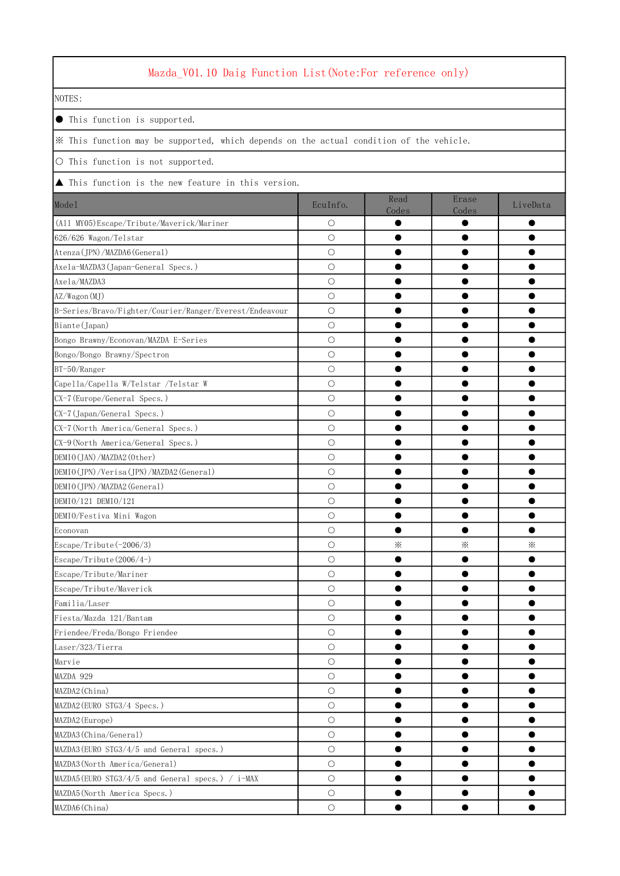## Mazda\_V01.10 Daig Function List(Note:For reference only)

NOTES:

● This function is supported.

※ This function may be supported, which depends on the actual condition of the vehicle.

○ This function is not supported.

▲ This function is the new feature in this version.

| Model                                                   | EcuInfo.   | Read<br>Codes | Erase<br>Codes | LiveData |
|---------------------------------------------------------|------------|---------------|----------------|----------|
| (All MY05)Escape/Tribute/Maverick/Mariner               | $\circ$    |               |                |          |
| 626/626 Wagon/Telstar                                   | $\bigcirc$ |               |                |          |
| Atenza (JPN) / MAZDA6 (General)                         | $\circ$    |               |                |          |
| Axela-MAZDA3 (Japan-General Specs.)                     | $\bigcirc$ |               |                |          |
| Axela/MAZDA3                                            | $\circ$    |               |                |          |
| AZ/Wagon(MJ)                                            | $\circ$    |               |                |          |
| B-Series/Bravo/Fighter/Courier/Ranger/Everest/Endeavour | $\circ$    |               |                |          |
| Biante (Japan)                                          | $\circ$    |               |                |          |
| Bongo Brawny/Econovan/MAZDA E-Series                    | $\bigcirc$ |               |                |          |
| Bongo/Bongo Brawny/Spectron                             | $\bigcirc$ |               |                |          |
| BT-50/Ranger                                            | $\circ$    |               |                |          |
| Capella/Capella W/Telstar /Telstar W                    | $\circ$    |               |                |          |
| CX-7 (Europe/General Specs.)                            | $\bigcirc$ |               |                |          |
| CX-7 (Japan/General Specs.)                             | $\bigcirc$ |               |                |          |
| CX-7 (North America/General Specs.)                     | $\bigcirc$ |               |                |          |
| CX-9 (North America/General Specs.)                     | $\bigcirc$ |               |                |          |
| DEMIO (JAN) / MAZDA2 (Other)                            | $\circ$    |               |                |          |
| DEMIO(JPN)/Verisa(JPN)/MAZDA2(General)                  | $\circ$    |               |                |          |
| DEMIO(JPN)/MAZDA2(General)                              | $\circ$    |               |                |          |
| DEMIO/121 DEMIO/121                                     | $\bigcirc$ |               |                |          |
| DEMIO/Festiva Mini Wagon                                | О          |               |                |          |
| Econovan                                                | $\circ$    |               |                |          |
| Escape/Tribute (-2006/3)                                | $\circ$    | $\times$      | ⋇              | ⋇        |
| Escape/Tribute (2006/4-)                                | $\bigcirc$ |               |                |          |
| Escape/Tribute/Mariner                                  | $\circ$    |               |                |          |
| Escape/Tribute/Maverick                                 | $\bigcirc$ |               |                |          |
| Familia/Laser                                           | $\circ$    |               |                |          |
| Fiesta/Mazda 121/Bantam                                 | $\circ$    |               |                |          |
| Friendee/Freda/Bongo Friendee                           | $\bigcirc$ |               |                |          |
| Laser/323/Tierra                                        | $\bigcirc$ |               |                |          |
| Marvie                                                  | $\bigcirc$ |               |                |          |
| MAZDA 929                                               | $\circ$    |               |                |          |
| MAZDA2 (China)                                          | $\circ$    |               |                |          |
| MAZDA2 (EURO STG3/4 Specs.)                             | $\bigcirc$ |               |                |          |
| MAZDA2 (Europe)                                         | $\bigcirc$ |               |                |          |
| MAZDA3 (China/General)                                  | $\circ$    |               |                |          |
| MAZDA3 (EURO STG3/4/5 and General specs.)               | $\bigcirc$ |               |                |          |
| MAZDA3 (North America/General)                          | $\bigcirc$ |               | ۸              |          |
| MAZDA5 (EURO STG3/4/5 and General specs.) / i-MAX       | $\circ$    |               |                |          |
| MAZDA5(North America Specs.)                            | $\bigcirc$ |               |                |          |
| MAZDA6(China)                                           | $\bigcirc$ |               |                |          |